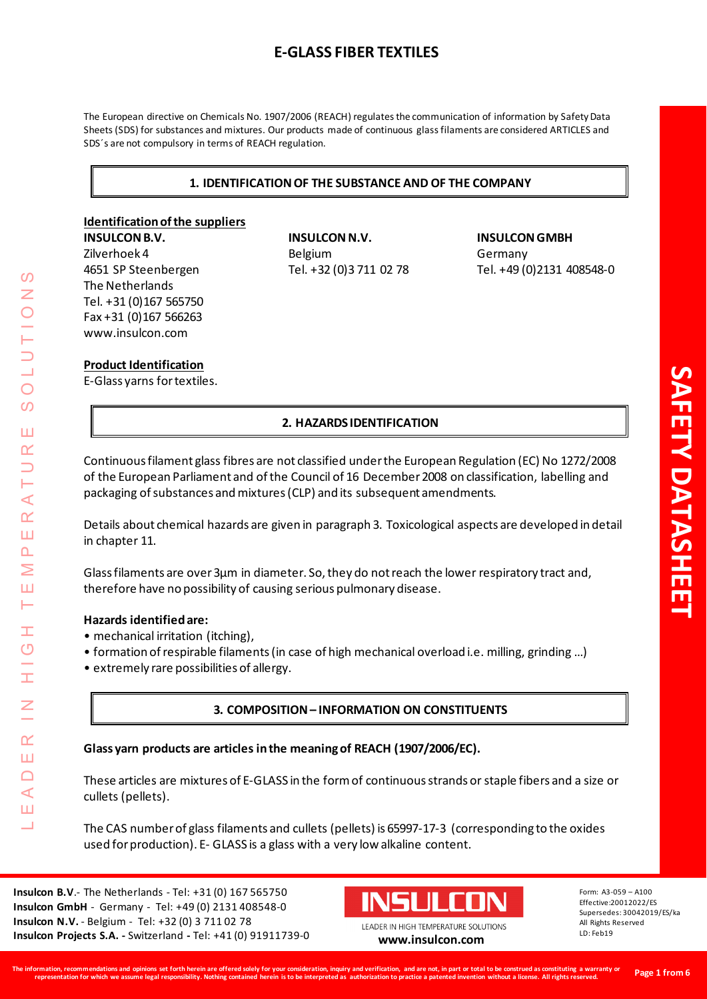# **E-GLASS FIBER TEXTILES**

The European directive on Chemicals No. 1907/2006 (REACH) regulates the communication of information by Safety Data Sheets (SDS) for substances and mixtures. Our products made of continuous glass filaments are considered ARTICLES and SDS´s are not compulsory in terms of REACH regulation.

# **1. IDENTIFICATION OF THE SUBSTANCE AND OF THE COMPANY**

# **Identification of the suppliers INSULCON B.V. INSULCON N.V. INSULCON GMBH**

The Netherlands Tel. +31 (0)167 565750 Fax +31 (0)167 566263 www.insulcon.com

Zilverhoek 4 Belgium Belgium Germany

# 4651 SP Steenbergen Tel. +32 (0)3 711 02 78 Tel. +49 (0)2131 408548-0

#### **Product Identification**

E-Glass yarns for textiles.

# **2. HAZARDS IDENTIFICATION**

Continuous filament glass fibres are not classified under the European Regulation (EC) No 1272/2008 of the European Parliament and of the Council of 16 December 2008 on classification, labelling and packaging of substances and mixtures (CLP) and its subsequent amendments.

Details about chemical hazards are given in paragraph 3. Toxicological aspects are developed in detail in chapter 11.

Glass filaments are over 3µm in diameter. So, they do not reach the lower respiratory tract and, therefore have no possibility of causing serious pulmonary disease.

#### **Hazards identified are:**

LEADER IN HIGH TEMPERATURE SOLUTIONS

Ì  $\overline{C}$ 

I

 $\alpha$ Ш  $\Box$  $\blacktriangleleft$ ш 山

 $\triangleleft$  $\alpha$ Ш  $\overline{\mathbf{r}}$ Σ Ш Н

 $\Omega$ 

 $\overline{O}$  $\Omega$ 

Ш  $\alpha$ 

- mechanical irritation (itching),
- formation of respirable filaments (in case of high mechanical overload i.e. milling, grinding …)
- extremely rare possibilities of allergy.

# **3. COMPOSITION – INFORMATION ON CONSTITUENTS**

# **Glass yarn products are articles in the meaning of REACH (1907/2006/EC).**

These articles are mixtures of E-GLASS in the form of continuous strands or staple fibers and a size or cullets (pellets).

The CAS number of glass filaments and cullets (pellets) is 65997-17-3 (corresponding to the oxides used for production). E- GLASS is a glass with a very low alkaline content.

**Insulcon B.V**.- The Netherlands - Tel: +31 (0) 167 565750 **Insulcon GmbH** - Germany - Tel: +49 (0) 2131 408548-0 **Insulcon N.V.** - Belgium - Tel: +32 (0) 3 711 02 78 **Insulcon Projects S.A. -** Switzerland **-** Tel: +41 (0) 91911739-0 **[www.insulcon.com](http://www.insulcon.com/)**



LEADER IN HIGH TEMPERATURE SOLUTIONS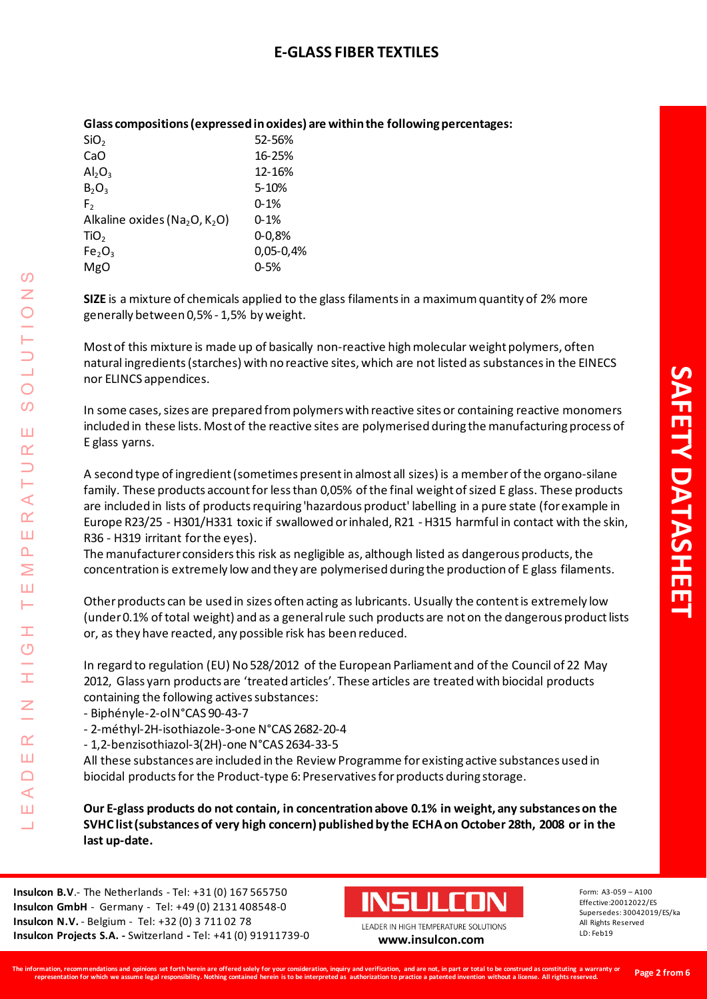| olass compositions (CAPICSSCU III OAIUCS) di C Withini the Tonowi |               |  |
|-------------------------------------------------------------------|---------------|--|
| SiO <sub>2</sub>                                                  | 52-56%        |  |
| CaO                                                               | 16-25%        |  |
| $\mathsf{Al}_2\mathsf{O}_3$                                       | 12-16%        |  |
| $B_2O_3$                                                          | $5 - 10%$     |  |
| F <sub>2</sub>                                                    | $0 - 1%$      |  |
| Alkaline oxides ( $Na2O, K2O$ )                                   | $0 - 1%$      |  |
| TiO <sub>2</sub>                                                  | $0 - 0.8%$    |  |
| Fe <sub>2</sub> O <sub>3</sub>                                    | $0,05 - 0,4%$ |  |
| MgO                                                               | $0 - 5%$      |  |
|                                                                   |               |  |

# **Glass compositions (expressed in oxides) are within the following percentages:**

**SIZE** is a mixture of chemicals applied to the glass filaments in a maximum quantity of 2% more generally between 0,5% - 1,5% by weight.

Most of this mixture is made up of basically non-reactive high molecular weight polymers, often natural ingredients (starches) with no reactive sites, which are not listed as substances in the EINECS nor ELINCS appendices.

In some cases, sizes are prepared from polymers with reactive sites or containing reactive monomers included in these lists. Most of the reactive sites are polymerised during the manufacturing process of E glass yarns.

A second type of ingredient (sometimes present in almost all sizes) is a member of the organo-silane family. These products account for less than 0,05% of the final weight of sized E glass. These products are included in lists of products requiring 'hazardous product' labelling in a pure state (for example in Europe R23/25 - H301/H331 toxic if swallowed or inhaled, R21 - H315 harmful in contact with the skin, R36 - H319 irritant for the eyes).

The manufacturer considers this risk as negligible as, although listed as dangerous products, the concentration is extremely low and they are polymerised during the production of E glass filaments.

Other products can be used in sizes often acting as lubricants. Usually the content is extremely low (under 0.1% of total weight) and as a general rule such products are not on the dangerous product lists or, as they have reacted, any possible risk has been reduced.

In regard to regulation (EU) No 528/2012 of the European Parliament and of the Council of 22 May 2012, Glass yarn products are 'treated articles'. These articles are treated with biocidal products containing the following actives substances:

- Biphényle-2-ol N°CAS 90-43-7

LEADER IN HIGH TEMPERATURE SOLUTIONS

Ŧ  $\overline{O}$ 

I

 $\alpha$ Ш  $\Box$  $\triangleleft$ ш 山

 $\triangleleft$  $\alpha$ Ш  $\Delta$ Σ Ш Н

 $\overline{O}$ Z

 $\overline{O}$  $\omega$ 

Ш  $\alpha$  $\overline{\phantom{0}}$ 

- 2-méthyl-2H-isothiazole-3-one N°CAS 2682-20-4

- 1,2-benzisothiazol-3(2H)-one N°CAS 2634-33-5

All these substances are included in the Review Programme for existing active substances used in biocidal products for the Product-type 6: Preservatives for products during storage.

**Our E-glass products do not contain, in concentration above 0.1% in weight, any substances on the SVHC list (substances of very high concern) published by the ECHA on October 28th, 2008 or in the last up-date.**

**Insulcon B.V**.- The Netherlands - Tel: +31 (0) 167 565750 **Insulcon GmbH** - Germany - Tel: +49 (0) 2131 408548-0 **Insulcon N.V.** - Belgium - Tel: +32 (0) 3 711 02 78 **Insulcon Projects S.A. -** Switzerland **-** Tel: +41 (0) 91911739-0 **[www.insulcon.com](http://www.insulcon.com/)**



LEADER IN HIGH TEMPERATURE SOLUTIONS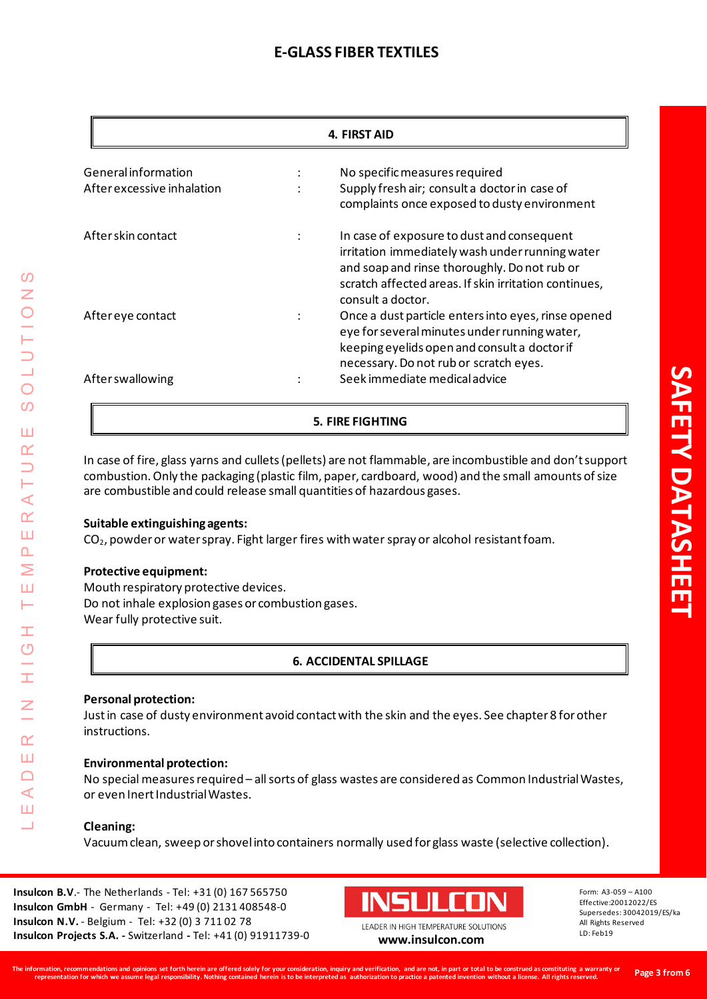# **E-GLASS FIBER TEXTILES**

|                                                   |  | 4. FIRST AID                                                                                                                                                                                                                |  |  |
|---------------------------------------------------|--|-----------------------------------------------------------------------------------------------------------------------------------------------------------------------------------------------------------------------------|--|--|
| General information<br>After excessive inhalation |  | No specific measures required<br>Supply fresh air; consult a doctor in case of<br>complaints once exposed to dusty environment                                                                                              |  |  |
| After skin contact                                |  | In case of exposure to dust and consequent<br>irritation immediately wash under running water<br>and soap and rinse thoroughly. Do not rub or<br>scratch affected areas. If skin irritation continues,<br>consult a doctor. |  |  |
| After eye contact                                 |  | Once a dust particle enters into eyes, rinse opened<br>eye for several minutes under running water,<br>keeping eyelids open and consult a doctor if<br>necessary. Do not rub or scratch eyes.                               |  |  |
| After swallowing                                  |  | Seek immediate medical advice                                                                                                                                                                                               |  |  |
| <b>5. FIRE FIGHTING</b>                           |  |                                                                                                                                                                                                                             |  |  |

In case of fire, glass yarns and cullets(pellets) are not flammable, are incombustible and don't support combustion. Only the packaging (plastic film, paper, cardboard, wood) and the small amounts of size are combustible and could release small quantities of hazardous gases.

# **Suitable extinguishing agents:**

 $CO<sub>2</sub>$ , powder or water spray. Fight larger fires with water spray or alcohol resistant foam.

#### **Protective equipment:**

LEADER IN HIGH TEMPERATURE SOLUTIONS

Ŧ  $\overline{O}$ 

I

 $\alpha$ Ш  $\Box$  $\blacktriangleleft$ Ш  $\overline{\phantom{0}}$ 

 $\triangleleft$  $\alpha$ Ш  $\overline{\mathbf{r}}$ Σ Ш Н

**S** Z

 $\overline{O}$ 

 $\overline{O}$ 

Ш  $\alpha$ 

> Mouth respiratory protective devices. Do not inhale explosion gases or combustion gases. Wear fully protective suit.

# **6. ACCIDENTAL SPILLAGE**

#### **Personal protection:**

Just in case of dusty environment avoid contact with the skin and the eyes. See chapter 8 for other instructions.

#### **Environmental protection:**

No special measures required – all sorts of glass wastes are considered as Common Industrial Wastes, or even Inert Industrial Wastes.

#### **Cleaning:**

Vacuum clean, sweep or shovel into containers normally used for glass waste (selective collection).

**Insulcon B.V**.- The Netherlands - Tel: +31 (0) 167 565750 **Insulcon GmbH** - Germany - Tel: +49 (0) 2131 408548-0 **Insulcon N.V.** - Belgium - Tel: +32 (0) 3 711 02 78 **Insulcon Projects S.A. -** Switzerland **-** Tel: +41 (0) 91911739-0 **[www.insulcon.com](http://www.insulcon.com/)**



LEADER IN HIGH TEMPERATURE SOLUTIONS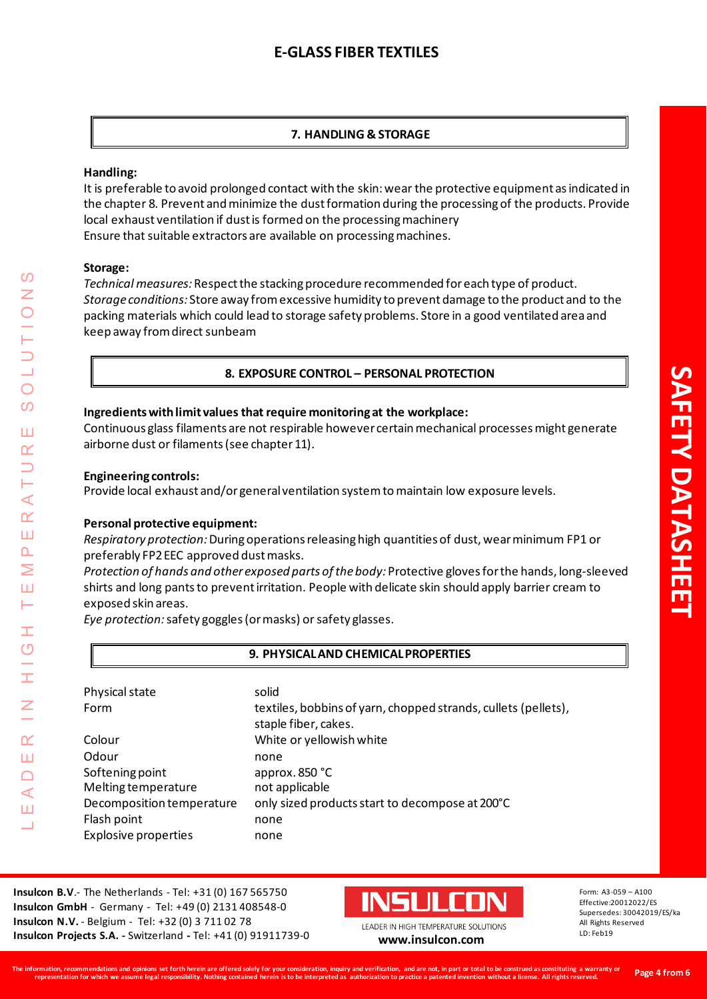# **7. HANDLING & STORAGE**

#### **Handling:**

It is preferable to avoid prolonged contact with the skin: wear the protective equipment as indicated in the chapter 8. Prevent and minimize the dust formation during the processing of the products. Provide local exhaust ventilation if dust is formed on the processing machinery Ensure that suitable extractors are available on processing machines.

#### **Storage:**

*Technical measures:*Respect the stacking procedure recommended for each type of product. *Storage conditions:* Store away from excessive humidity to prevent damage to the product and to the packing materials which could lead to storage safety problems. Store in a good ventilated area and keep away from direct sunbeam

# **8. EXPOSURE CONTROL – PERSONAL PROTECTION**

#### **Ingredients with limit values that require monitoring at the workplace:**

Continuous glass filaments are not respirable however certain mechanical processes might generate airborne dust or filaments (see chapter 11).

#### **Engineering controls:**

Provide local exhaust and/or general ventilation system to maintain low exposure levels.

# **Personal protective equipment:**

*Respiratory protection:* During operations releasing high quantities of dust, wear minimum FP1 or preferably FP2 EEC approved dust masks.

*Protection of hands and other exposed parts of the body:* Protective gloves for the hands, long-sleeved shirts and long pants to prevent irritation. People with delicate skin should apply barrier cream to exposed skin areas.

*Eye protection:*safety goggles (or masks) or safety glasses.

#### **9. PHYSICAL AND CHEMICAL PROPERTIES**

| Physical state<br>Form      | solid<br>textiles, bobbins of yarn, chopped strands, cullets (pellets),<br>staple fiber, cakes. |
|-----------------------------|-------------------------------------------------------------------------------------------------|
| Colour                      | White or yellowish white                                                                        |
| Odour                       | none                                                                                            |
| Softening point             | approx. $850 °C$                                                                                |
| <b>Melting temperature</b>  | not applicable                                                                                  |
| Decomposition temperature   | only sized products start to decompose at 200°C                                                 |
| Flash point                 | none                                                                                            |
| <b>Explosive properties</b> | none                                                                                            |

**Insulcon B.V**.- The Netherlands - Tel: +31 (0) 167 565750 **Insulcon GmbH** - Germany - Tel: +49 (0) 2131 408548-0 **Insulcon N.V.** - Belgium - Tel: +32 (0) 3 711 02 78 **Insulcon Projects S.A. -** Switzerland **-** Tel: +41 (0) 91911739-0 **[www.insulcon.com](http://www.insulcon.com/)**



LEADER IN HIGH TEMPERATURE SOLUTIONS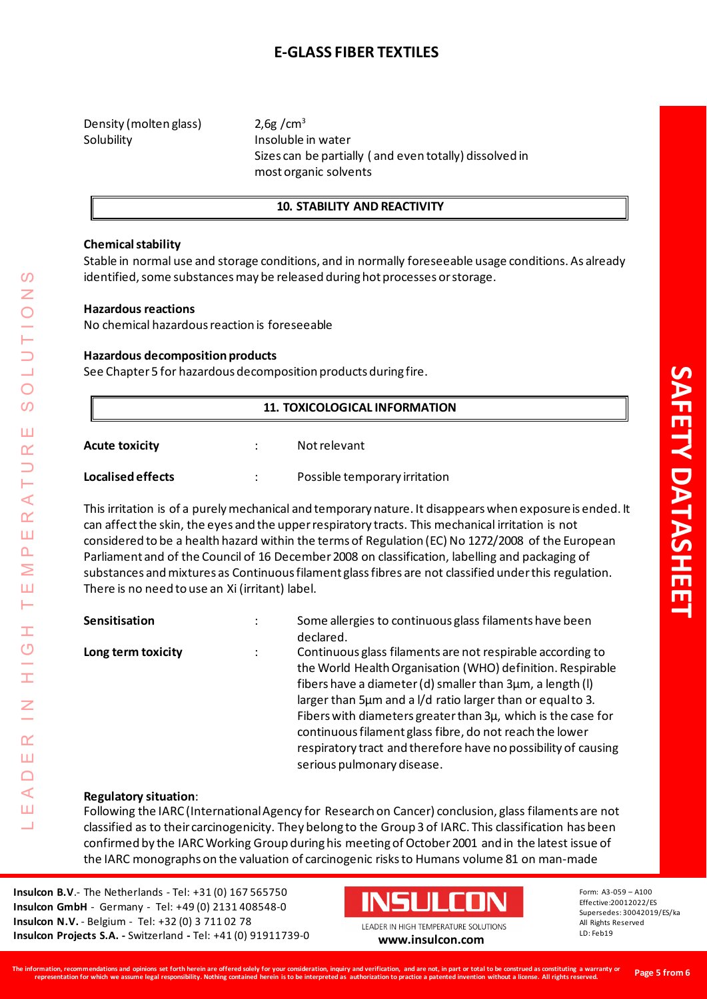# **E-GLASS FIBER TEXTILES**

Density (molten glass)  $2.6g/cm<sup>3</sup>$ Solubility **Insoluble** in water

Sizes can be partially ( and even totally) dissolved in most organic solvents

#### **10. STABILITY AND REACTIVITY**

#### **Chemical stability**

Stable in normal use and storage conditions, and in normally foreseeable usage conditions. As already identified, some substances may be released during hot processes or storage.

#### **Hazardous reactions**

No chemical hazardous reaction is foreseeable

#### **Hazardous decomposition products**

See Chapter 5 for hazardous decomposition products during fire.

| <b>11. TOXICOLOGICAL INFORMATION</b> |  |                               |  |
|--------------------------------------|--|-------------------------------|--|
| <b>Acute toxicity</b>                |  | Not relevant                  |  |
| Localised effects                    |  | Possible temporary irritation |  |

This irritation is of a purely mechanical and temporary nature. It disappears when exposure is ended. It can affect the skin, the eyes and the upper respiratory tracts. This mechanical irritation is not considered to be a health hazard within the terms of Regulation (EC) No 1272/2008 of the European Parliament and of the Council of 16 December 2008 on classification, labelling and packaging of substances and mixtures as Continuous filament glass fibres are not classified under this regulation. There is no need to use an Xi (irritant) label.

| Sensitisation      | $\ddot{\cdot}$ | Some allergies to continuous glass filaments have been<br>declared.                                                                                                                                                                                                                                                                                                                                                                                                            |
|--------------------|----------------|--------------------------------------------------------------------------------------------------------------------------------------------------------------------------------------------------------------------------------------------------------------------------------------------------------------------------------------------------------------------------------------------------------------------------------------------------------------------------------|
| Long term toxicity | $\ddot{\cdot}$ | Continuous glass filaments are not respirable according to<br>the World Health Organisation (WHO) definition. Respirable<br>fibers have a diameter (d) smaller than 3µm, a length (l)<br>larger than 5µm and a I/d ratio larger than or equal to 3.<br>Fibers with diameters greater than 3µ, which is the case for<br>continuous filament glass fibre, do not reach the lower<br>respiratory tract and therefore have no possibility of causing<br>serious pulmonary disease. |

#### **Regulatory situation**:

Following the IARC (International Agency for Research on Cancer) conclusion, glass filaments are not classified as to their carcinogenicity. They belong to the Group 3 of IARC. This classification has been confirmed by the IARC Working Group during his meeting of October 2001 and in the latest issue of the IARC monographs on the valuation of carcinogenic risks to Humans volume 81 on man-made

**Insulcon B.V**.- The Netherlands - Tel: +31 (0) 167 565750 **Insulcon GmbH** - Germany - Tel: +49 (0) 2131 408548-0 **Insulcon N.V.** - Belgium - Tel: +32 (0) 3 711 02 78 **Insulcon Projects S.A. -** Switzerland **-** Tel: +41 (0) 91911739-0 **[www.insulcon.com](http://www.insulcon.com/)**



All Rights Reserved LD: Feb19

**SAFETY DATASHEET**

**AFETY DATASHEE**